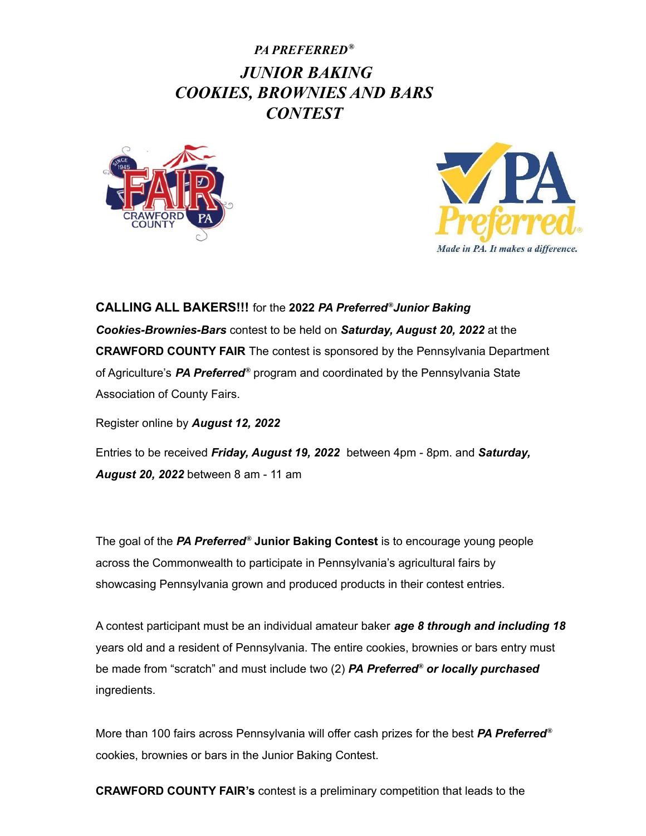## *PA PREFERRED® JUNIOR BAKING COOKIES, BROWNIES AND BARS CONTEST*





**CALLING ALL BAKERS!!!** for the **2022** *PA Preferred ®Junior Baking Cookies-Brownies-Bars* contest to be held on *Saturday, August 20, 2022* at the **CRAWFORD COUNTY FAIR** The contest is sponsored by the Pennsylvania Department of Agriculture's *PA Preferred ®* program and coordinated by the Pennsylvania State Association of County Fairs.

Register online by *August 12, 2022*

Entries to be received *Friday, August 19, 2022* between 4pm - 8pm. and *Saturday, August 20, 2022* between 8 am - 11 am

The goal of the *PA Preferred ®* **Junior Baking Contest** is to encourage young people across the Commonwealth to participate in Pennsylvania's agricultural fairs by showcasing Pennsylvania grown and produced products in their contest entries.

A contest participant must be an individual amateur baker *age 8 through and including 18* years old and a resident of Pennsylvania. The entire cookies, brownies or bars entry must be made from "scratch" and must include two (2) *PA Preferred ® or locally purchased* ingredients.

More than 100 fairs across Pennsylvania will offer cash prizes for the best *PA Preferred ®* cookies, brownies or bars in the Junior Baking Contest.

**CRAWFORD COUNTY FAIR's** contest is a preliminary competition that leads to the